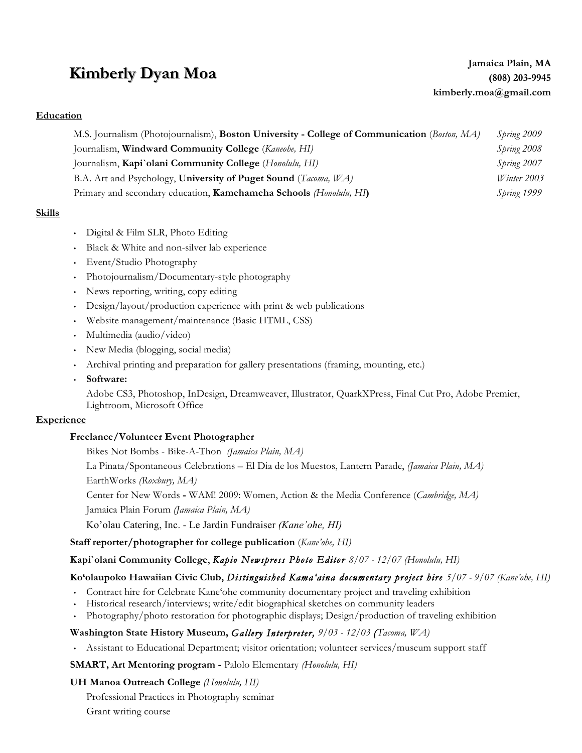# **Kimberly Dyan Moa**

### **Education**

M.S. Journalism (Photojournalism), **Boston University - College of Communication** (*Boston, MA)* Journalism, **Windward Community College** (*Kaneohe, HI)* Journalism, **Kapi`olani Community College** (*Honolulu, HI)* B.A. Art and Psychology, **University of Puget Sound** (*Tacoma, WA)* Primary and secondary education, **Kamehameha Schools** *(Honolulu, HI***)** *Spring 2009 Spring 2008 Spring 2007 Winter 2003 Spring 1999*

## **Skills**

- Digital & Film SLR, Photo Editing
- Black & White and non-silver lab experience
- Event/Studio Photography
- Photojournalism/Documentary-style photography
- News reporting, writing, copy editing
- Design/layout/production experience with print & web publications
- Website management/maintenance (Basic HTML, CSS)
- Multimedia (audio/video)
- New Media (blogging, social media)
- Archival printing and preparation for gallery presentations (framing, mounting, etc.)
- **Software:**

Adobe CS3, Photoshop, InDesign, Dreamweaver, Illustrator, QuarkXPress, Final Cut Pro, Adobe Premier, Lightroom, Microsoft Office

#### **Experience**

#### **Freelance/Volunteer Event Photographer**

Bikes Not Bombs - Bike-A-Thon *(Jamaica Plain, MA)*

La Pinata/Spontaneous Celebrations – El Dia de los Muestos, Lantern Parade, *(Jamaica Plain, MA)* EarthWorks *(Roxbury, MA)*

Center for New Words **-** WAM! 2009: Women, Action & the Media Conference (*Cambridge, MA)*

Jamaica Plain Forum *(Jamaica Plain, MA)*

Ko'olau Catering, Inc. - Le Jardin Fundraiser *(Kane'ohe, HI)*

**Staff reporter/photographer for college publication** (*Kane'ohe, HI)*

## **Kapi`olani Community College**, *Kapio Newspress Photo Editor 8/07 - 12/07 (Honolulu, HI)*

## **Ko'olaupoko Hawaiian Civic Club,** *Distinguished Kama'aina documentary project hire 5/07 - 9/07 (Kane'ohe, HI)*

- Contract hire for Celebrate Kane'ohe community documentary project and traveling exhibition
- Historical research/interviews; write/edit biographical sketches on community leaders
- Photography/photo restoration for photographic displays; Design/production of traveling exhibition

## **Washington State History Museum,** *Gallery Interpreter, 9/03 - 12/03 (Tacoma, WA)*

• Assistant to Educational Department; visitor orientation; volunteer services/museum support staff

**SMART, Art Mentoring program -** Palolo Elementary *(Honolulu, HI)*

**UH Manoa Outreach College** *(Honolulu, HI)*

Professional Practices in Photography seminar

Grant writing course